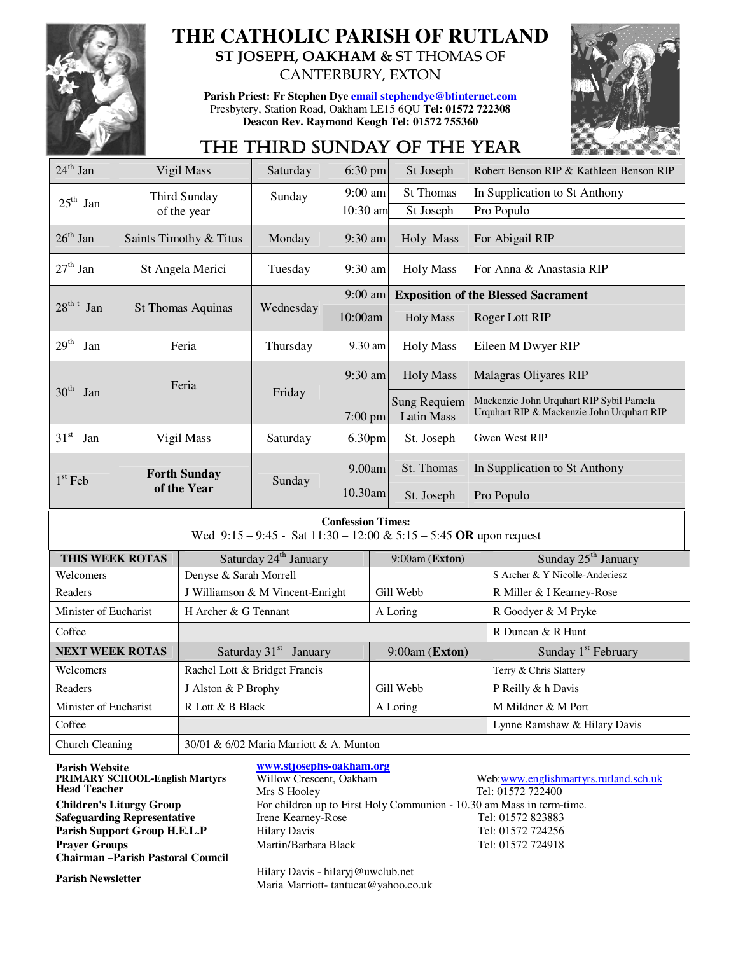

# **THE CATHOLIC PARISH OF RUTLAND ST JOSEPH, OAKHAM &** ST THOMAS OF

**Parish Priest: Fr Stephen Dye email stephendye@btinternet.com** Presbytery, Station Road, Oakham LE15 6QU **Tel: 01572 722308 Deacon Rev. Raymond Keogh Tel: 01572 755360** 

CANTERBURY, EXTON



# THE THIRD SUNDAY OF THE YEAR

| $24th$ Jan                | Vigil Mass               | Saturday  | $6:30$ pm         | St Joseph                                | Robert Benson RIP & Kathleen Benson RIP                                                |
|---------------------------|--------------------------|-----------|-------------------|------------------------------------------|----------------------------------------------------------------------------------------|
| $25^{\text{th}}$ Jan      | Third Sunday             | Sunday    | $9:00$ am         | <b>St Thomas</b>                         | In Supplication to St Anthony                                                          |
|                           | of the year              |           | $10:30$ am        | St Joseph                                | Pro Populo                                                                             |
| $26^{\text{th}}$ Jan      | Saints Timothy & Titus   | Monday    | $9:30 \text{ am}$ | Holy Mass                                | For Abigail RIP                                                                        |
| $27th$ Jan                | St Angela Merici         | Tuesday   | $9:30$ am         | <b>Holy Mass</b>                         | For Anna & Anastasia RIP                                                               |
|                           |                          |           | $9:00$ am         |                                          | <b>Exposition of the Blessed Sacrament</b>                                             |
| $28^{\text{th} t}$<br>Jan | <b>St Thomas Aquinas</b> | Wednesday | 10:00am           | Holy Mass                                | Roger Lott RIP                                                                         |
| 29 <sup>th</sup><br>Jan   | Feria                    | Thursday  | $9.30$ am         | <b>Holy Mass</b>                         | Eileen M Dwyer RIP                                                                     |
|                           | Feria                    |           | $9:30$ am         | <b>Holy Mass</b>                         | Malagras Oliyares RIP                                                                  |
| 30 <sup>th</sup><br>Jan   |                          | Friday    | $7:00$ pm         | <b>Sung Requiem</b><br><b>Latin Mass</b> | Mackenzie John Urquhart RIP Sybil Pamela<br>Urquhart RIP & Mackenzie John Urquhart RIP |
| $31^{\rm st}$<br>Jan      | Vigil Mass               | Saturday  | 6.30pm            | St. Joseph                               | Gwen West RIP                                                                          |
| $1st$ Feb                 | <b>Forth Sunday</b>      | Sunday    | 9.00am            | St. Thomas                               | In Supplication to St Anthony                                                          |
|                           | of the Year              |           | $10.30$ am        | St. Joseph                               | Pro Populo                                                                             |

### **Confession Times:**

Wed 9:15 – 9:45 - Sat 11:30 – 12:00 & 5:15 – 5:45 **OR** upon request

| THIS WEEK ROTAS        | Saturday 24 <sup>th</sup> January       | $9:00$ am (Exton) | Sunday 25 <sup>th</sup> January |
|------------------------|-----------------------------------------|-------------------|---------------------------------|
| Welcomers              | Denyse & Sarah Morrell                  |                   | S Archer & Y Nicolle-Anderiesz  |
| Readers                | J Williamson & M Vincent-Enright        | Gill Webb         | R Miller & I Kearney-Rose       |
| Minister of Eucharist  | H Archer & G Tennant                    | A Loring          | R Goodyer & M Pryke             |
| Coffee                 |                                         |                   | R Duncan & R Hunt               |
| <b>NEXT WEEK ROTAS</b> | Saturday $31st$ January                 | $9:00am$ (Exton)  | Sunday $1st$ February           |
| Welcomers              | Rachel Lott & Bridget Francis           |                   | Terry & Chris Slattery          |
| Readers                | J Alston & P Brophy                     | Gill Webb         | P Reilly & h Davis              |
| Minister of Eucharist  | R Lott & B Black                        | A Loring          | M Mildner & M Port              |
| Coffee                 |                                         |                   | Lynne Ramshaw & Hilary Davis    |
| Church Cleaning        | 30/01 & 6/02 Maria Marriott & A. Munton |                   |                                 |

**Parish Website**<br> **PRIMARY SCHOOL-English Martyrs**Willow Crescent, Oakham **PRIMARY SCHOOL-English Martyrs Head Teacher Safeguarding Representative** Irene Kearney<br> **Parish Support Group H.E.L.P** Hilary Davis **Chairman –Parish Pastoral Council**

Mrs S Hooley Tel: 01572 722400 **Children's Liturgy Group** For children up to First Holy Communion - 10.30 am Mass in term-time.<br> **Safeguarding Representative** Irene Kearney-Rose Tel: 01572 823883 **Parish Support Group H.E.L.P** Hilary Davis Tel: 01572 724256 **Prayer Groups** Martin/Barbara Black Tel: 01572 724918

Parish Newsletter **Parish Newsletter Hilary Davis - hilaryj@uwclub.net** Maria Marriott- tantucat@yahoo.co.uk Web:www.englishmartyrs.rutland.sch.uk